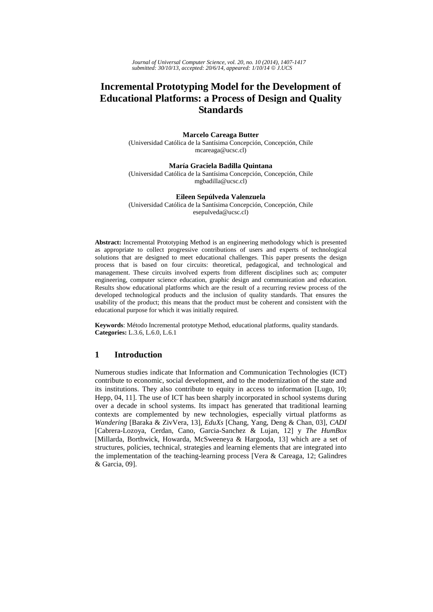*Journal of Universal Computer Science, vol. 20, no. 10 (2014), 1407-1417 submitted: 30/10/13, accepted: 20/6/14, appeared: 1/10/14* © *J.UCS*

# **Incremental Prototyping Model for the Development of Educational Platforms: a Process of Design and Quality Standards**

#### **Marcelo Careaga Butter**

(Universidad Católica de la Santísima Concepción, Concepción, Chile mcareaga@ucsc.cl)

**María Graciela Badilla Quintana** (Universidad Católica de la Santísima Concepción, Concepción, Chile mgbadilla@ucsc.cl)

#### **Eileen Sepúlveda Valenzuela**

(Universidad Católica de la Santísima Concepción, Concepción, Chile esepulveda@ucsc.cl)

**Abstract:** Incremental Prototyping Method is an engineering methodology which is presented as appropriate to collect progressive contributions of users and experts of technological solutions that are designed to meet educational challenges. This paper presents the design process that is based on four circuits: theoretical, pedagogical, and technological and management. These circuits involved experts from different disciplines such as; computer engineering, computer science education, graphic design and communication and education. Results show educational platforms which are the result of a recurring review process of the developed technological products and the inclusion of quality standards. That ensures the usability of the product; this means that the product must be coherent and consistent with the educational purpose for which it was initially required.

**Keywords**: Método Incremental prototype Method, educational platforms, quality standards. **Categories:** L.3.6, L.6.0, L.6.1

# **1 Introduction**

Numerous studies indicate that Information and Communication Technologies (ICT) contribute to economic, social development, and to the modernization of the state and its institutions. They also contribute to equity in access to information [Lugo, 10; Hepp, 04, 11]. The use of ICT has been sharply incorporated in school systems during over a decade in school systems. Its impact has generated that traditional learning contexts are complemented by new technologies, especially virtual platforms as *Wandering* [Baraka & ZivVera, 13], *EduXs* [Chang, Yang, Deng & Chan, 03], *CADI* [Cabrera-Lozoya, Cerdan, Cano, Garcia-Sanchez & Lujan, 12] y *The HumBox* [Millarda, Borthwick, Howarda, McSweeneya & Hargooda, 13] which are a set of structures, policies, technical, strategies and learning elements that are integrated into the implementation of the teaching-learning process [Vera & Careaga, 12; Galindres & Garcia, 09].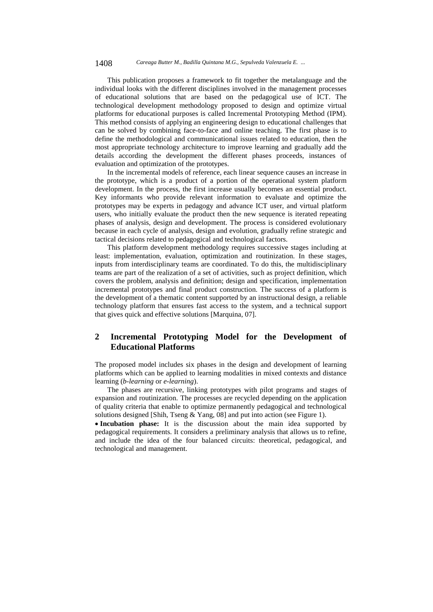This publication proposes a framework to fit together the metalanguage and the individual looks with the different disciplines involved in the management processes of educational solutions that are based on the pedagogical use of ICT. The technological development methodology proposed to design and optimize virtual platforms for educational purposes is called Incremental Prototyping Method (IPM). This method consists of applying an engineering design to educational challenges that can be solved by combining face-to-face and online teaching. The first phase is to define the methodological and communicational issues related to education, then the most appropriate technology architecture to improve learning and gradually add the details according the development the different phases proceeds, instances of evaluation and optimization of the prototypes.

In the incremental models of reference, each linear sequence causes an increase in the prototype, which is a product of a portion of the operational system platform development. In the process, the first increase usually becomes an essential product. Key informants who provide relevant information to evaluate and optimize the prototypes may be experts in pedagogy and advance ICT user, and virtual platform users, who initially evaluate the product then the new sequence is iterated repeating phases of analysis, design and development. The process is considered evolutionary because in each cycle of analysis, design and evolution, gradually refine strategic and tactical decisions related to pedagogical and technological factors.

This platform development methodology requires successive stages including at least: implementation, evaluation, optimization and routinization. In these stages, inputs from interdisciplinary teams are coordinated. To do this, the multidisciplinary teams are part of the realization of a set of activities, such as project definition, which covers the problem, analysis and definition; design and specification, implementation incremental prototypes and final product construction. The success of a platform is the development of a thematic content supported by an instructional design, a reliable technology platform that ensures fast access to the system, and a technical support that gives quick and effective solutions [Marquina, 07].

# **2 Incremental Prototyping Model for the Development of Educational Platforms**

The proposed model includes six phases in the design and development of learning platforms which can be applied to learning modalities in mixed contexts and distance learning (*b-learning* or *e-learning*).

The phases are recursive, linking prototypes with pilot programs and stages of expansion and routinization. The processes are recycled depending on the application of quality criteria that enable to optimize permanently pedagogical and technological solutions designed [Shih, Tseng & Yang, 08] and put into action (see Figure 1).

 **Incubation phase:** It is the discussion about the main idea supported by pedagogical requirements. It considers a preliminary analysis that allows us to refine, and include the idea of the four balanced circuits: theoretical, pedagogical, and technological and management.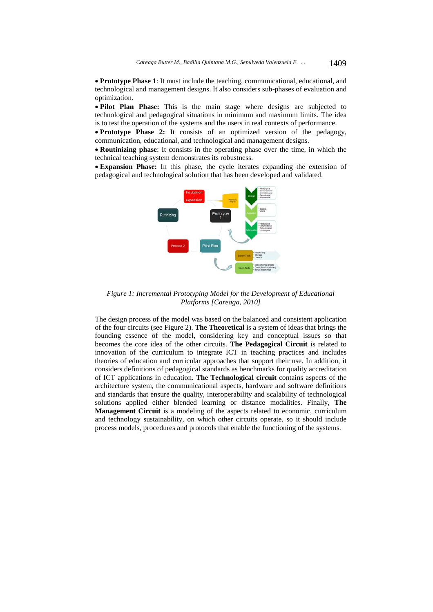**Prototype Phase 1**: It must include the teaching, communicational, educational, and technological and management designs. It also considers sub-phases of evaluation and optimization.

 **Pilot Plan Phase:** This is the main stage where designs are subjected to technological and pedagogical situations in minimum and maximum limits. The idea is to test the operation of the systems and the users in real contexts of performance.

• Prototype Phase 2: It consists of an optimized version of the pedagogy, communication, educational, and technological and management designs.

 **Routinizing phase**: It consists in the operating phase over the time, in which the technical teaching system demonstrates its robustness.

 **Expansion Phase:** In this phase, the cycle iterates expanding the extension of pedagogical and technological solution that has been developed and validated.



*Figure 1: Incremental Prototyping Model for the Development of Educational Platforms [Careaga, 2010]* 

The design process of the model was based on the balanced and consistent application of the four circuits (see Figure 2). **The Theoretical** is a system of ideas that brings the founding essence of the model, considering key and conceptual issues so that becomes the core idea of the other circuits. **The Pedagogical Circuit** is related to innovation of the curriculum to integrate ICT in teaching practices and includes theories of education and curricular approaches that support their use. In addition, it considers definitions of pedagogical standards as benchmarks for quality accreditation of ICT applications in education. **The Technological circuit** contains aspects of the architecture system, the communicational aspects, hardware and software definitions and standards that ensure the quality, interoperability and scalability of technological solutions applied either blended learning or distance modalities. Finally, **The Management Circuit** is a modeling of the aspects related to economic, curriculum and technology sustainability, on which other circuits operate, so it should include process models, procedures and protocols that enable the functioning of the systems.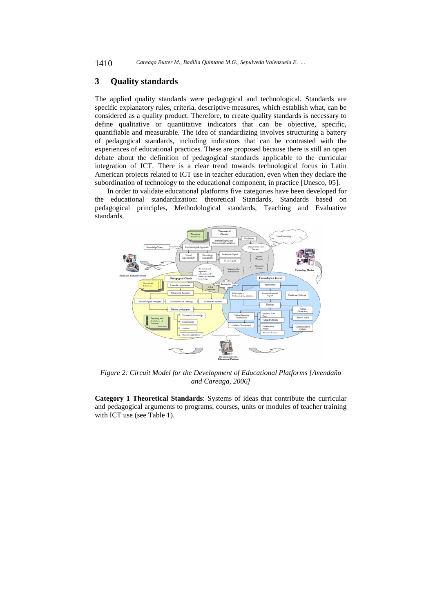# **3 Quality standards**

The applied quality standards were pedagogical and technological. Standards are specific explanatory rules, criteria, descriptive measures, which establish what, can be considered as a quality product. Therefore, to create quality standards is necessary to define qualitative or quantitative indicators that can be objective, specific, quantifiable and measurable. The idea of standardizing involves structuring a battery of pedagogical standards, including indicators that can be contrasted with the experiences of educational practices. These are proposed because there is still an open debate about the definition of pedagogical standards applicable to the curricular integration of ICT. There is a clear trend towards technological focus in Latin American projects related to ICT use in teacher education, even when they declare the subordination of technology to the educational component, in practice [Unesco, 05].

In order to validate educational platforms five categories have been developed for the educational standardization: theoretical Standards, Standards based on pedagogical principles, Methodological standards, Teaching and Evaluative standards.



*Figure 2: Circuit Model for the Development of Educational Platforms [Avendaño and Careaga, 2006]* 

**Category 1 Theoretical Standards**: Systems of ideas that contribute the curricular and pedagogical arguments to programs, courses, units or modules of teacher training with ICT use (see Table 1).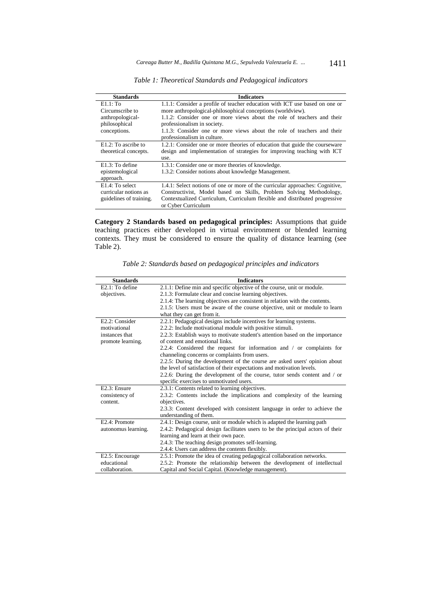| <b>Standards</b>        | <b>Indicators</b>                                                             |
|-------------------------|-------------------------------------------------------------------------------|
| $E1.1:$ To              | 1.1.1: Consider a profile of teacher education with ICT use based on one or   |
| Circumscribe to         | more anthropological-philosophical conceptions (worldview).                   |
| anthropological-        | 1.1.2: Consider one or more views about the role of teachers and their        |
| philosophical           | professionalism in society.                                                   |
| conceptions.            | 1.1.3: Consider one or more views about the role of teachers and their        |
|                         | professionalism in culture.                                                   |
| E1.2: To ascribe to     | 1.2.1: Consider one or more theories of education that guide the courseware   |
| theoretical concepts.   | design and implementation of strategies for improving teaching with ICT       |
|                         | use.                                                                          |
| $E1.3:$ To define       | 1.3.1: Consider one or more theories of knowledge.                            |
| epistemological         | 1.3.2: Consider notions about knowledge Management.                           |
| approach.               |                                                                               |
| $E1.4$ : To select      | 1.4.1: Select notions of one or more of the curricular approaches: Cognitive, |
| curricular notions as   | Constructivist, Model based on Skills, Problem Solving Methodology,           |
| guidelines of training. | Contextualized Curriculum, Curriculum flexible and distributed progressive    |
|                         | or Cyber Curriculum                                                           |

*Table 1: Theoretical Standards and Pedagogical indicators* 

**Category 2 Standards based on pedagogical principles:** Assumptions that guide teaching practices either developed in virtual environment or blended learning contexts. They must be considered to ensure the quality of distance learning (see Table 2).

| <b>Standards</b>    | <b>Indicators</b>                                                               |
|---------------------|---------------------------------------------------------------------------------|
| $E2.1:$ To define   | 2.1.1: Define min and specific objective of the course, unit or module.         |
| objectives.         | 2.1.3: Formulate clear and concise learning objectives.                         |
|                     | 2.1.4: The learning objectives are consistent in relation with the contents.    |
|                     | 2.1.5: Users must be aware of the course objective, unit or module to learn     |
|                     | what they can get from it.                                                      |
| E2.2: Consider      | 2.2.1: Pedagogical designs include incentives for learning systems.             |
| motivational        | 2.2.2: Include motivational module with positive stimuli.                       |
| instances that      | 2.2.3: Establish ways to motivate student's attention based on the importance   |
| promote learning.   | of content and emotional links.                                                 |
|                     | 2.2.4: Considered the request for information and $\prime$ or complaints for    |
|                     | channeling concerns or complaints from users.                                   |
|                     | 2.2.5: During the development of the course are asked users' opinion about      |
|                     | the level of satisfaction of their expectations and motivation levels.          |
|                     | 2.2.6: During the development of the course, tutor sends content and / or       |
|                     | specific exercises to unmotivated users.                                        |
| E2.3: Ensure        | 2.3.1: Contents related to learning objectives.                                 |
| consistency of      | 2.3.2: Contents include the implications and complexity of the learning         |
| content.            | objectives.                                                                     |
|                     | 2.3.3: Content developed with consistent language in order to achieve the       |
|                     | understanding of them.                                                          |
| E2.4: Promote       | 2.4.1: Design course, unit or module which is adapted the learning path         |
| autonomus learning. | 2.4.2: Pedagogical design facilitates users to be the principal actors of their |
|                     | learning and learn at their own pace.                                           |
|                     | 2.4.3: The teaching design promotes self-learning.                              |
|                     | 2.4.4: Users can address the contents flexibly.                                 |
| E2.5: Encourage     | 2.5.1: Promote the idea of creating pedagogical collaboration networks.         |
| educational         | 2.5.2: Promote the relationship between the development of intellectual         |
| collaboration.      | Capital and Social Capital. (Knowledge management).                             |

*Table 2: Standards based on pedagogical principles and indicators*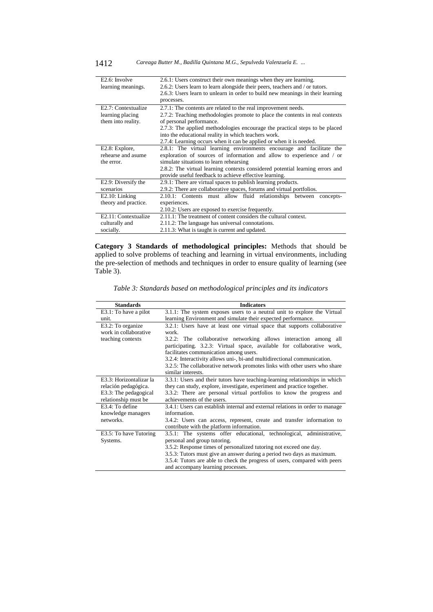| E <sub>2.6</sub> : Involve | 2.6.1: Users construct their own meanings when they are learning.              |
|----------------------------|--------------------------------------------------------------------------------|
| learning meanings.         | 2.6.2: Users learn to learn alongside their peers, teachers and / or tutors.   |
|                            | 2.6.3: Users learn to unlearn in order to build new meanings in their learning |
|                            | processes.                                                                     |
| E2.7: Contextualize        | 2.7.1: The contents are related to the real improvement needs.                 |
| learning placing           | 2.7.2: Teaching methodologies promote to place the contents in real contexts   |
| them into reality.         | of personal performance.                                                       |
|                            | 2.7.3: The applied methodologies encourage the practical steps to be placed    |
|                            | into the educational reality in which teachers work.                           |
|                            | 2.7.4: Learning occurs when it can be applied or when it is needed.            |
| E2.8: Explore,             | 2.8.1: The virtual learning environments encourage and facilitate the          |
| rehearse and asume         | exploration of sources of information and allow to experience and / or         |
| the error.                 | simulate situations to learn rehearsing                                        |
|                            | 2.8.2: The virtual learning contexts considered potential learning errors and  |
|                            | provide useful feedback to achieve effective learning.                         |
| E2.9: Diversify the        | 2.9.1: There are virtual spaces to publish learning products.                  |
| scenarios                  | 2.9.2: There are collaborative spaces, forums and virtual portfolios.          |
| $E2.10$ : Linking          | 2.10.1: Contents must allow fluid relationships between<br>concepts-           |
| theory and practice.       | experiences.                                                                   |
|                            | 2.10.2: Users are exposed to exercise frequently.                              |
| E2.11: Contextualize       | 2.11.1: The treatment of content considers the cultural context.               |
| culturally and             | 2.11.2: The language has universal connotations.                               |
| socially.                  | 2.11.3: What is taught is current and updated.                                 |

**Category 3 Standards of methodological principles:** Methods that should be applied to solve problems of teaching and learning in virtual environments, including the pre-selection of methods and techniques in order to ensure quality of learning (see Table 3).

| <b>Standards</b>         | <b>Indicators</b>                                                             |
|--------------------------|-------------------------------------------------------------------------------|
| $E3.1$ : To have a pilot | 3.1.1: The system exposes users to a neutral unit to explore the Virtual      |
| unit.                    | learning Environment and simulate their expected performance.                 |
| E3.2: To organize        | 3.2.1: Users have at least one virtual space that supports collaborative      |
| work in collaborative    | work.                                                                         |
| teaching contexts        | 3.2.2: The collaborative networking allows interaction among all              |
|                          | participating. 3.2.3: Virtual space, available for collaborative work,        |
|                          | facilitates communication among users.                                        |
|                          | 3.2.4: Interactivity allows uni-, bi-and multidirectional communication.      |
|                          | 3.2.5: The collaborative network promotes links with other users who share    |
|                          | similar interests.                                                            |
| E3.3: Horizontalizar la  | 3.3.1: Users and their tutors have teaching-learning relationships in which   |
| relación pedagógica.     | they can study, explore, investigate, experiment and practice together.       |
| E3.3: The pedagogical    | 3.3.2: There are personal virtual portfolios to know the progress and         |
| relationship must be     | achievements of the users.                                                    |
| E3.4: To define          | 3.4.1: Users can establish internal and external relations in order to manage |
| knowledge managers       | information.                                                                  |
| networks.                | 3.4.2: Users can access, represent, create and transfer information to        |
|                          | contribute with the platform information.                                     |
| E3.5: To have Tutoring   | 3.5.1: The systems offer educational, technological, administrative,          |
| Systems.                 | personal and group tutoring.                                                  |
|                          | 3.5.2: Response times of personalized tutoring not exceed one day.            |
|                          | 3.5.3: Tutors must give an answer during a period two days as maximum.        |
|                          | 3.5.4: Tutors are able to check the progress of users, compared with peers    |
|                          | and accompany learning processes.                                             |

*Table 3: Standards based on methodological principles and its indicators*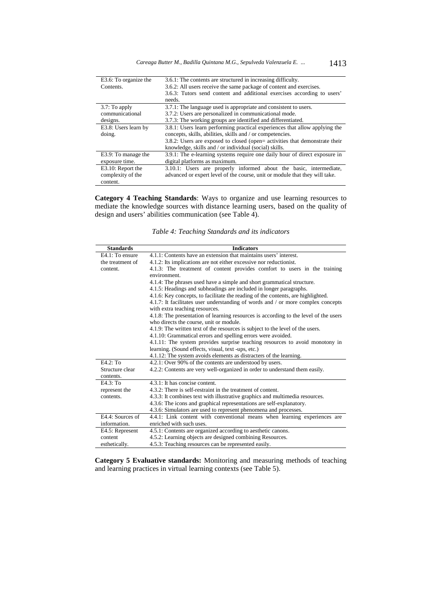| E3.6: To organize the | 3.6.1: The contents are structured in increasing difficulty.                |
|-----------------------|-----------------------------------------------------------------------------|
| Contents.             | 3.6.2: All users receive the same package of content and exercises.         |
|                       | 3.6.3: Tutors send content and additional exercises according to users'     |
|                       | needs.                                                                      |
| $3.7:$ To apply       | 3.7.1: The language used is appropriate and consistent to users.            |
| communicational       | 3.7.2: Users are personalized in communicational mode.                      |
| designs.              | 3.7.3: The working groups are identified and differentiated.                |
| E3.8: Users learn by  | 3.8.1: Users learn performing practical experiences that allow applying the |
| doing.                | concepts, skills, abilities, skills and / or competencies.                  |
|                       | 3.8.2: Users are exposed to closed (open= activities that demonstrate their |
|                       | knowledge, skills and / or individual (social) skills.                      |
| E3.9: To manage the   | 3.9.1: The e-learning systems require one daily hour of direct exposure in  |
| exposure time.        | digital platforms as maximum.                                               |
| E3.10: Report the     | 3.10.1: Users are properly informed about the basic, intermediate,          |
| complexity of the     | advanced or expert level of the course, unit or module that they will take. |
| content.              |                                                                             |

**Category 4 Teaching Standards**: Ways to organize and use learning resources to mediate the knowledge sources with distance learning users, based on the quality of design and users' abilities communication (see Table 4).

*Table 4: Teaching Standards and its indicators* 

| <b>Standards</b> | <b>Indicators</b>                                                                    |
|------------------|--------------------------------------------------------------------------------------|
| E4.1: To ensure  | 4.1.1: Contents have an extension that maintains users' interest.                    |
| the treatment of | 4.1.2: Its implications are not either excessive nor reductionist.                   |
| content.         | 4.1.3: The treatment of content provides comfort to users in the training            |
|                  | environment.                                                                         |
|                  | 4.1.4: The phrases used have a simple and short grammatical structure.               |
|                  | 4.1.5: Headings and subheadings are included in longer paragraphs.                   |
|                  | 4.1.6: Key concepts, to facilitate the reading of the contents, are highlighted.     |
|                  | 4.1.7: It facilitates user understanding of words and / or more complex concepts     |
|                  | with extra teaching resources.                                                       |
|                  | 4.1.8: The presentation of learning resources is according to the level of the users |
|                  | who directs the course, unit or module.                                              |
|                  | 4.1.9: The written text of the resources is subject to the level of the users.       |
|                  | 4.1.10: Grammatical errors and spelling errors were avoided.                         |
|                  | 4.1.11: The system provides surprise teaching resources to avoid monotony in         |
|                  | learning. (Sound effects, visual, text -ups, etc.)                                   |
|                  | 4.1.12: The system avoids elements as distracters of the learning.                   |
| $E4.2:$ To       | 4.2.1: Over 90% of the contents are understood by users.                             |
| Structure clear  | 4.2.2: Contents are very well-organized in order to understand them easily.          |
| contents.        |                                                                                      |
| $E4.3:$ To       | 4.3.1: It has concise content.                                                       |
| represent the    | 4.3.2: There is self-restraint in the treatment of content.                          |
| contents.        | 4.3.3: It combines text with illustrative graphics and multimedia resources.         |
|                  | 4.3.6: The icons and graphical representations are self-explanatory.                 |
|                  | 4.3.6: Simulators are used to represent phenomena and processes.                     |
| E4.4: Sources of | 4.4.1: Link content with conventional means when learning experiences are            |
| information.     | enriched with such uses.                                                             |
| E4.5: Represent  | 4.5.1: Contents are organized according to aesthetic canons.                         |
| content          | 4.5.2: Learning objects are designed combining Resources.                            |
| esthetically.    | 4.5.3: Teaching resources can be represented easily.                                 |

**Category 5 Evaluative standards:** Monitoring and measuring methods of teaching and learning practices in virtual learning contexts (see Table 5).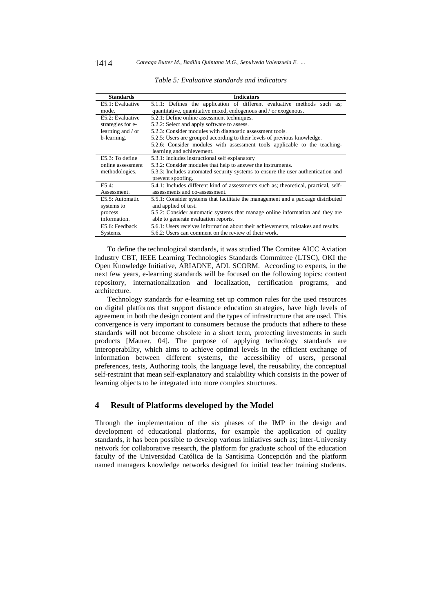| <b>Standards</b>  | <b>Indicators</b>                                                                    |
|-------------------|--------------------------------------------------------------------------------------|
| E5.1: Evaluative  | 5.1.1: Defines the application of different evaluative methods such as;              |
| mode.             | quantitative, quantitative mixed, endogenous and / or exogenous.                     |
| E5.2: Evaluative  | 5.2.1: Define online assessment techniques.                                          |
| strategies for e- | 5.2.2: Select and apply software to assess.                                          |
| learning and / or | 5.2.3: Consider modules with diagnostic assessment tools.                            |
| b-learning.       | 5.2.5: Users are grouped according to their levels of previous knowledge.            |
|                   | 5.2.6: Consider modules with assessment tools applicable to the teaching-            |
|                   | learning and achievement.                                                            |
| E5.3: To define   | 5.3.1: Includes instructional self explanatory                                       |
| online assessment | 5.3.2: Consider modules that help to answer the instruments.                         |
| methodologies.    | 5.3.3: Includes automated security systems to ensure the user authentication and     |
|                   | prevent spoofing.                                                                    |
| E5.4:             | 5.4.1: Includes different kind of assessments such as; theoretical, practical, self- |
| Assessment.       | assessments and co-assessment.                                                       |
| E5.5: Automatic   | 5.5.1: Consider systems that facilitate the management and a package distributed     |
| systems to        | and applied of test.                                                                 |
| process           | 5.5.2: Consider automatic systems that manage online information and they are        |
| information.      | able to generate evaluation reports.                                                 |
| E5.6: Feedback    | 5.6.1: Users receives information about their achievements, mistakes and results.    |
| Systems.          | 5.6.2: Users can comment on the review of their work.                                |

*Table 5: Evaluative standards and indicators* 

To define the technological standards, it was studied The Comitee AICC Aviation Industry CBT, IEEE Learning Technologies Standards Committee (LTSC), OKI the Open Knowledge Initiative, ARIADNE, ADL SCORM. According to experts, in the next few years, e-learning standards will be focused on the following topics: content repository, internationalization and localization, certification programs, and architecture.

Technology standards for e-learning set up common rules for the used resources on digital platforms that support distance education strategies, have high levels of agreement in both the design content and the types of infrastructure that are used. This convergence is very important to consumers because the products that adhere to these standards will not become obsolete in a short term, protecting investments in such products [Maurer, 04]. The purpose of applying technology standards are interoperability, which aims to achieve optimal levels in the efficient exchange of information between different systems, the accessibility of users, personal preferences, tests, Authoring tools, the language level, the reusability, the conceptual self-restraint that mean self-explanatory and scalability which consists in the power of learning objects to be integrated into more complex structures.

# **4 Result of Platforms developed by the Model**

Through the implementation of the six phases of the IMP in the design and development of educational platforms, for example the application of quality standards, it has been possible to develop various initiatives such as; Inter-University network for collaborative research, the platform for graduate school of the education faculty of the Universidad Católica de la Santísima Concepción and the platform named managers knowledge networks designed for initial teacher training students.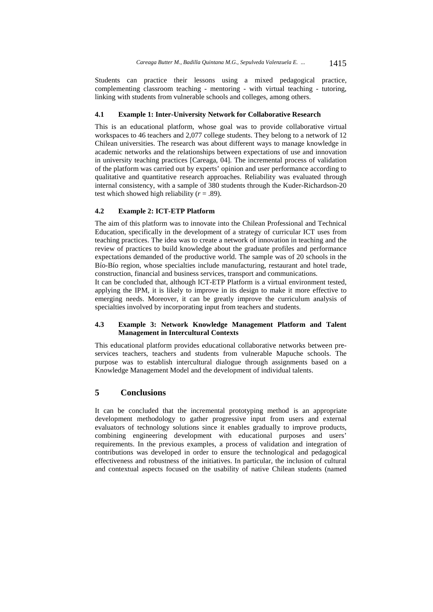Students can practice their lessons using a mixed pedagogical practice, complementing classroom teaching - mentoring - with virtual teaching - tutoring, linking with students from vulnerable schools and colleges, among others.

#### **4.1 Example 1: Inter-University Network for Collaborative Research**

This is an educational platform, whose goal was to provide collaborative virtual workspaces to 46 teachers and 2,077 college students. They belong to a network of 12 Chilean universities. The research was about different ways to manage knowledge in academic networks and the relationships between expectations of use and innovation in university teaching practices [Careaga, 04]. The incremental process of validation of the platform was carried out by experts' opinion and user performance according to qualitative and quantitative research approaches. Reliability was evaluated through internal consistency, with a sample of 380 students through the Kuder-Richardson-20 test which showed high reliability  $(r = .89)$ .

## **4.2 Example 2: ICT-ETP Platform**

The aim of this platform was to innovate into the Chilean Professional and Technical Education, specifically in the development of a strategy of curricular ICT uses from teaching practices. The idea was to create a network of innovation in teaching and the review of practices to build knowledge about the graduate profiles and performance expectations demanded of the productive world. The sample was of 20 schools in the Bío-Bío region, whose specialties include manufacturing, restaurant and hotel trade, construction, financial and business services, transport and communications.

It can be concluded that, although ICT-ETP Platform is a virtual environment tested, applying the IPM, it is likely to improve in its design to make it more effective to emerging needs. Moreover, it can be greatly improve the curriculum analysis of specialties involved by incorporating input from teachers and students.

### **4.3 Example 3: Network Knowledge Management Platform and Talent Management in Intercultural Contexts**

This educational platform provides educational collaborative networks between preservices teachers, teachers and students from vulnerable Mapuche schools. The purpose was to establish intercultural dialogue through assignments based on a Knowledge Management Model and the development of individual talents.

# **5 Conclusions**

It can be concluded that the incremental prototyping method is an appropriate development methodology to gather progressive input from users and external evaluators of technology solutions since it enables gradually to improve products, combining engineering development with educational purposes and users' requirements. In the previous examples, a process of validation and integration of contributions was developed in order to ensure the technological and pedagogical effectiveness and robustness of the initiatives. In particular, the inclusion of cultural and contextual aspects focused on the usability of native Chilean students (named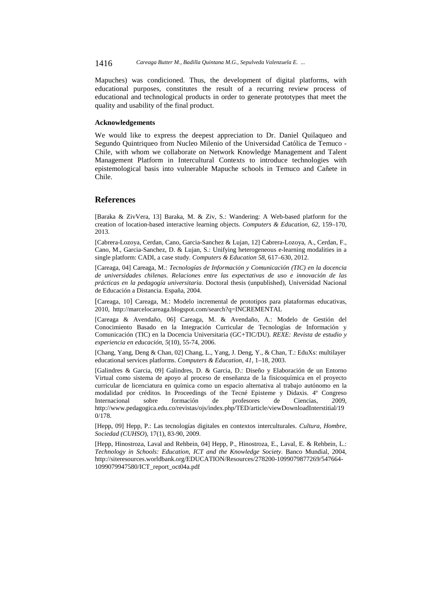1416 *Careaga Butter M., Badilla Quintana M.G., Sepulveda Valenzuela E. ...*

Mapuches) was condicioned. Thus, the development of digital platforms, with educational purposes, constitutes the result of a recurring review process of educational and technological products in order to generate prototypes that meet the quality and usability of the final product.

### **Acknowledgements**

We would like to express the deepest appreciation to Dr. Daniel Quilaqueo and Segundo Quintriqueo from Nucleo Milenio of the Universidad Católica de Temuco - Chile, with whom we collaborate on Network Knowledge Management and Talent Management Platform in Intercultural Contexts to introduce technologies with epistemological basis into vulnerable Mapuche schools in Temuco and Cañete in Chile.

# **References**

[Baraka & ZivVera, 13] Baraka, M. & Ziv, S.: Wandering: A Web-based platform for the creation of location-based interactive learning objects. *Computers & Education, 62*, 159–170, 2013.

[Cabrera-Lozoya, Cerdan, Cano, Garcia-Sanchez & Lujan, 12] Cabrera-Lozoya, A., Cerdan, F., Cano, M., Garcia-Sanchez, D. & Lujan, S.: Unifying heterogeneous e-learning modalities in a single platform: CADI, a case study. *Computers & Education 58*, 617–630, 2012.

[Careaga, 04] Careaga, M.: *Tecnologías de Información y Comunicación (TIC) en la docencia de universidades chilenas. Relaciones entre las expectativas de uso e innovación de las prácticas en la pedagogía universitaria.* Doctoral thesis (unpublished), Universidad Nacional de Educación a Distancia. España, 2004.

[Careaga, 10] Careaga, M.: Modelo incremental de prototipos para plataformas educativas, 2010, http://marcelocareaga.blogspot.com/search?q=INCREMENTAL

[Careaga & Avendaño, 06] Careaga, M. & Avendaño, A.: Modelo de Gestión del Conocimiento Basado en la Integración Curricular de Tecnologías de Información y Comunicación (TIC) en la Docencia Universitaria (GC+TIC/DU). *REXE: Revista de estudio y experiencia en educación, 5*(10), 55-74, 2006.

[Chang, Yang, Deng & Chan, 02] Chang, L., Yang, J. Deng, Y., & Chan, T.: EduXs: multilayer educational services platforms. *Computers & Education, 41*, 1–18, 2003.

[Galindres & Garcia, 09] Galindres, D. & Garcia, D.: Diseño y Elaboración de un Entorno Virtual como sistema de apoyo al proceso de enseñanza de la fisicoquímica en el proyecto curricular de licenciatura en química como un espacio alternativa al trabajo autónomo en la modalidad por créditos. In Proceedings of the Tecné Episteme y Didaxis. 4º Congreso Internacional sobre formación de profesores de Ciencias, 2009, http://www.pedagogica.edu.co/revistas/ojs/index.php/TED/article/viewDownloadInterstitial/19 0/178.

[Hepp, 09] Hepp, P.: Las tecnologías digitales en contextos interculturales. *Cultura, Hombre, Sociedad (CUHSO*), 17(1), 83-90, 2009.

[Hepp, Hinostroza, Laval and Rehbein, 04] Hepp, P., Hinostroza, E., Laval, E. & Rehbein, L.: *Technology in Schools: Education, ICT and the Knowledge Society*. Banco Mundial, 2004, http://siteresources.worldbank.org/EDUCATION/Resources/278200-1099079877269/547664- 1099079947580/ICT\_report\_oct04a.pdf